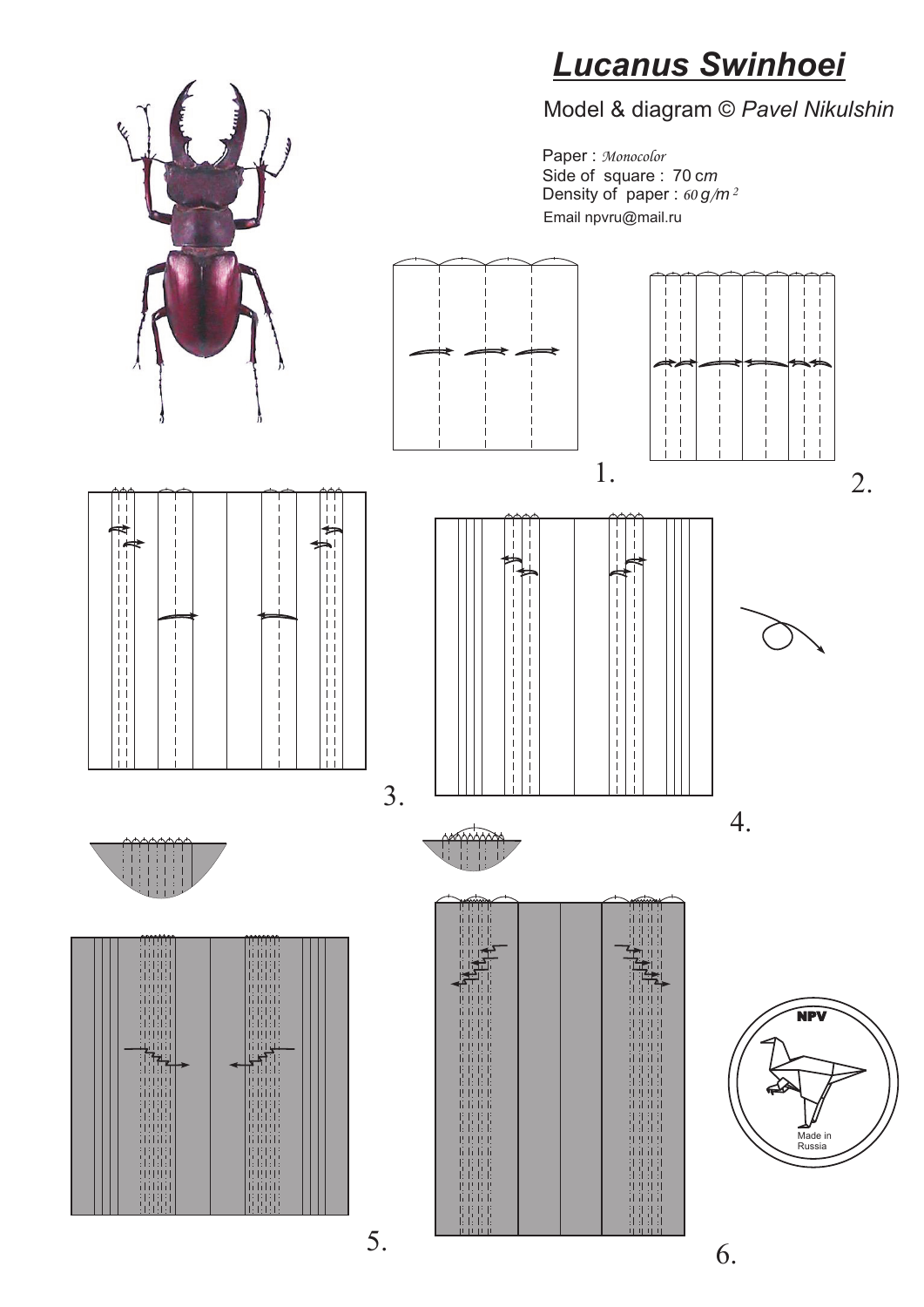

# *Lucanus Swinhoei*



Paper : *Monocolor* Side of square : 70 c*m* Density of paper : *60 g/m 2* Email npvru@mail.ru



















## Model & diagram © *Pavel Nikulshin*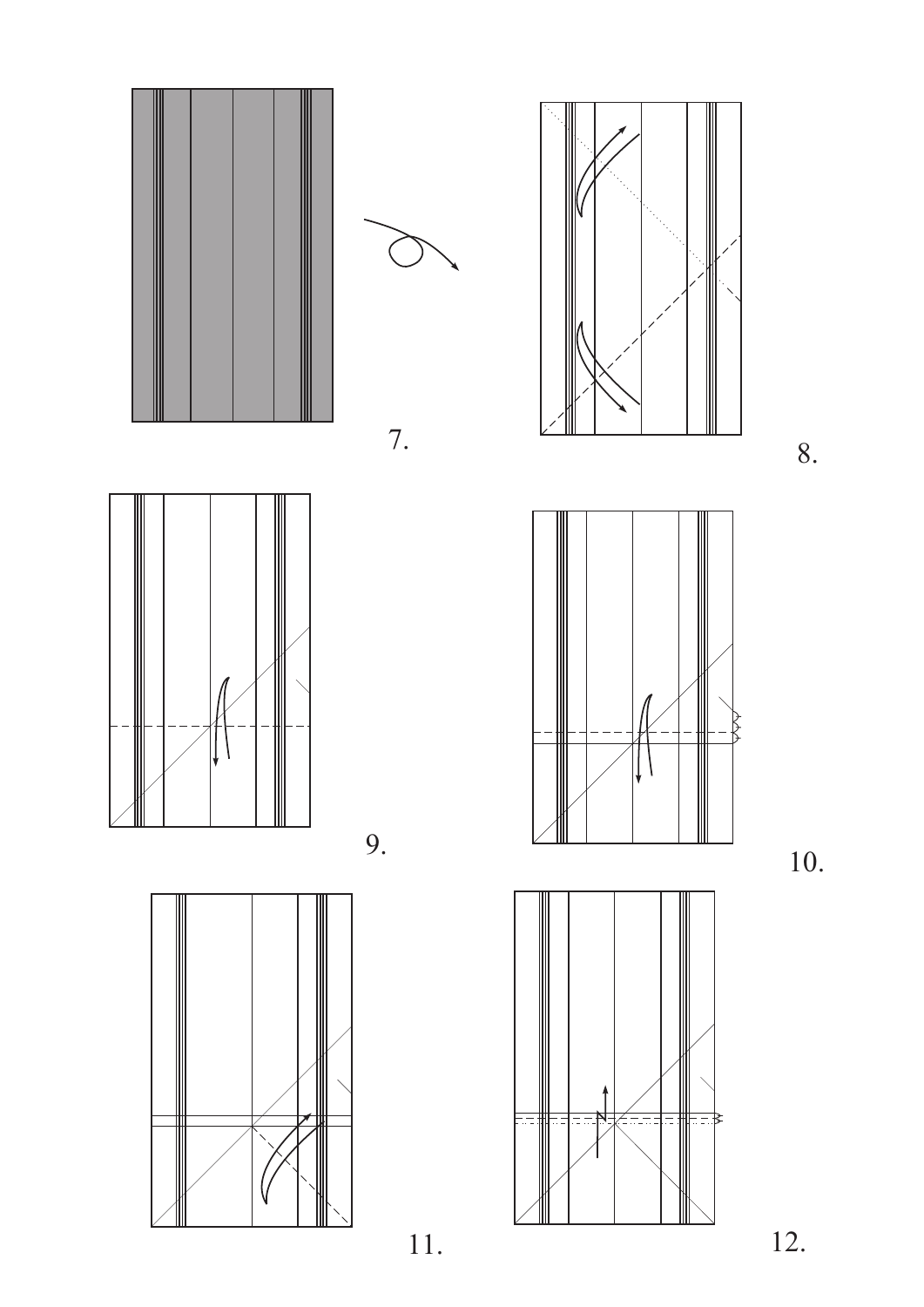









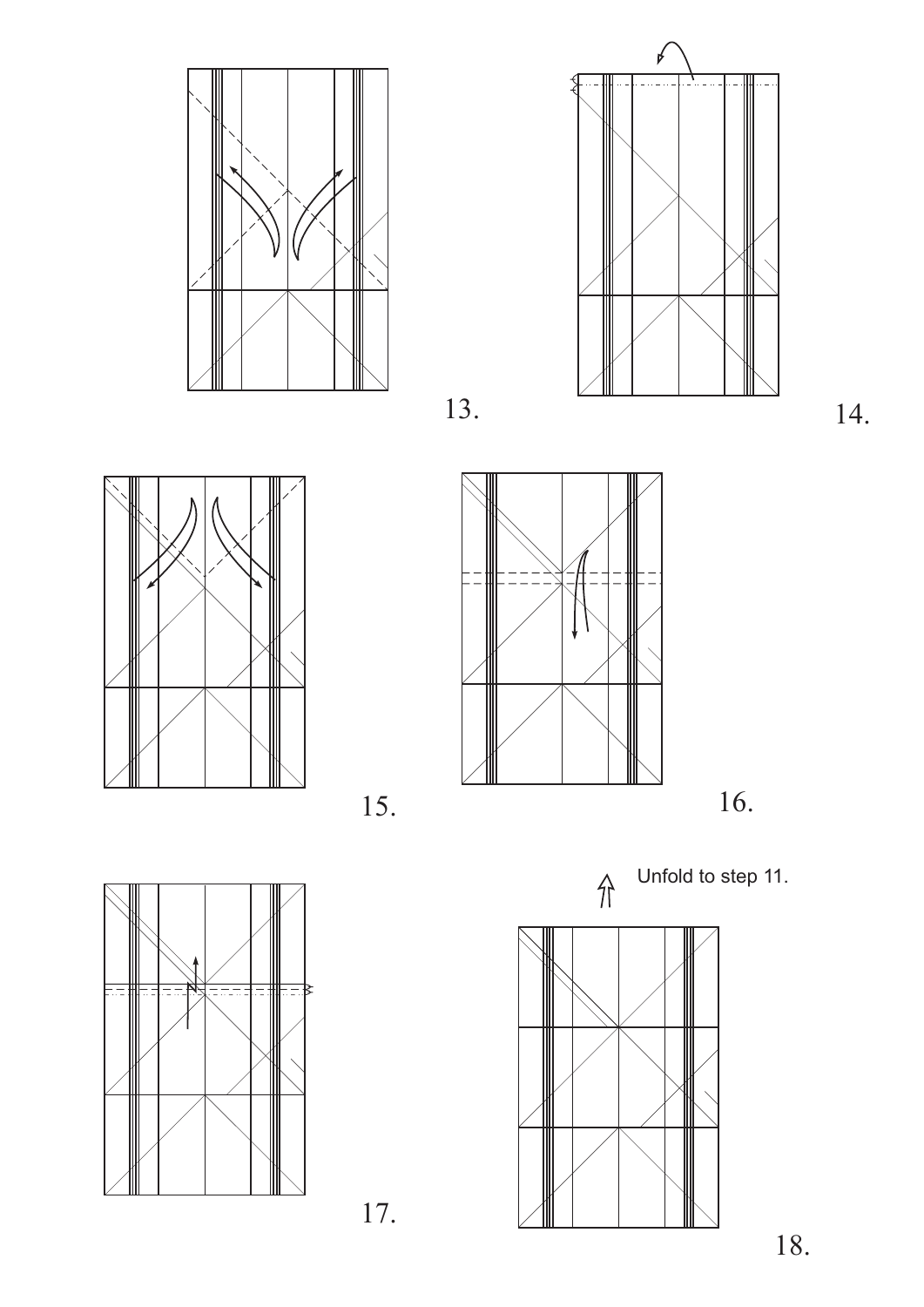









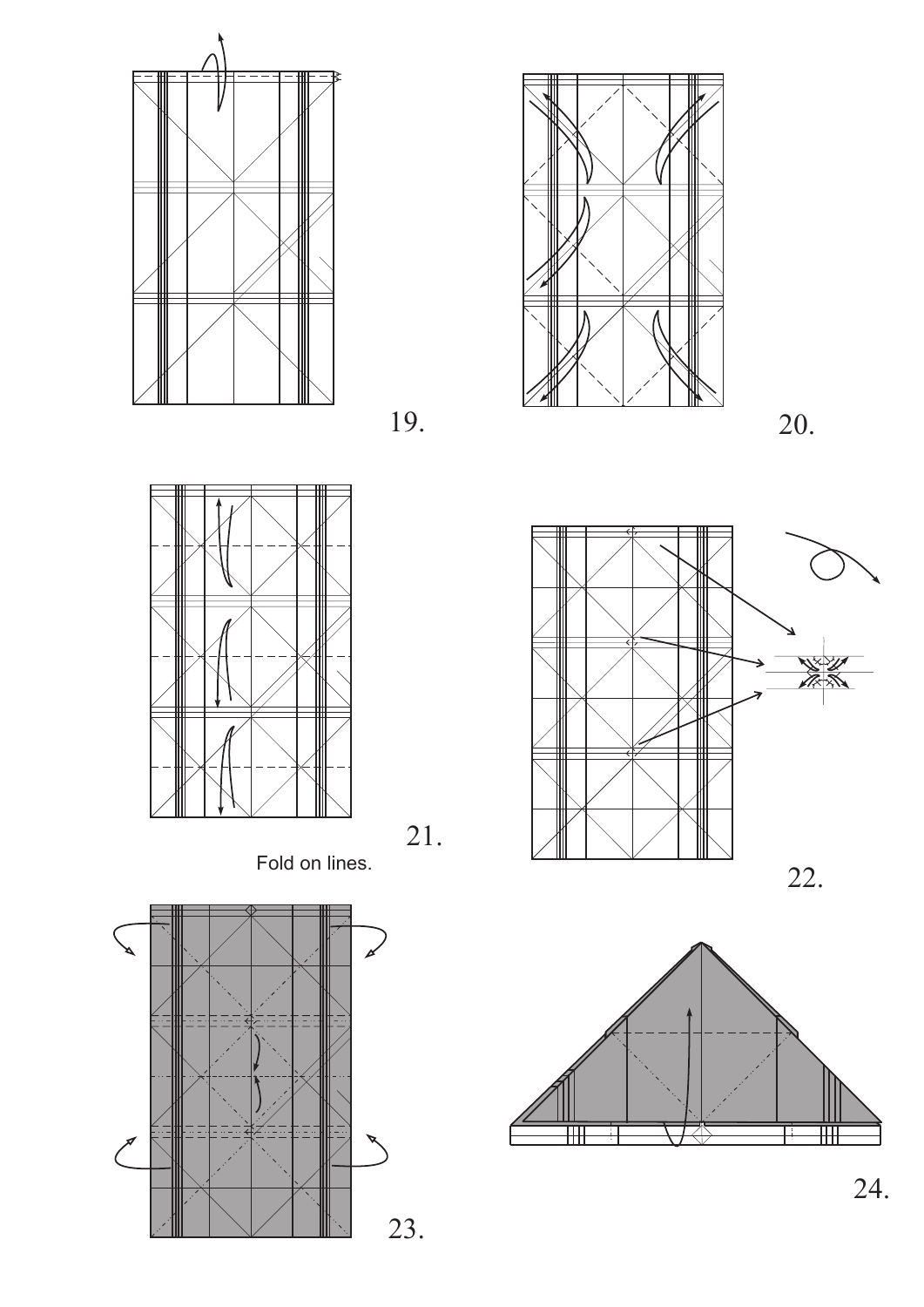







Fold on lines.



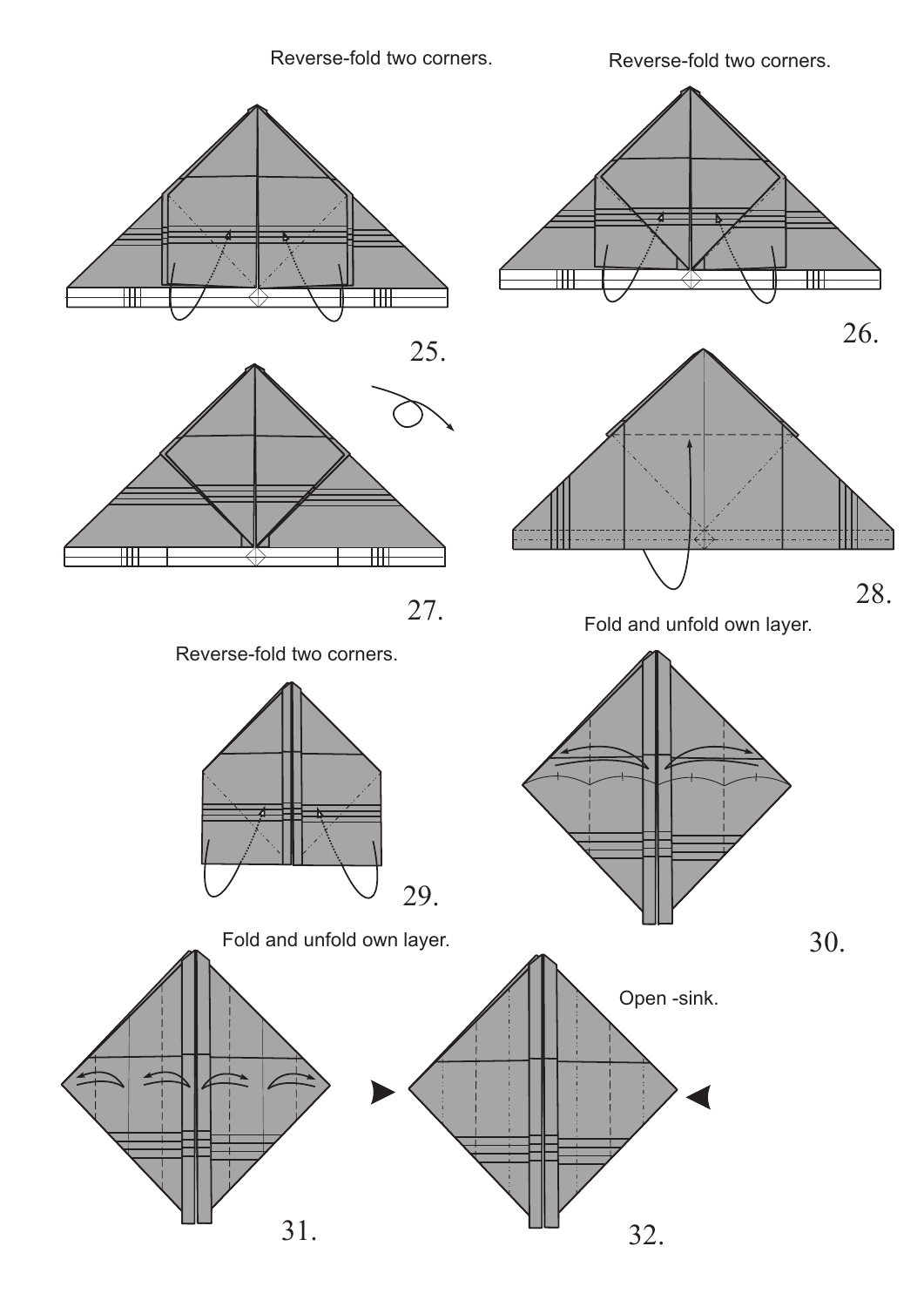



Reverse-fold two corners.

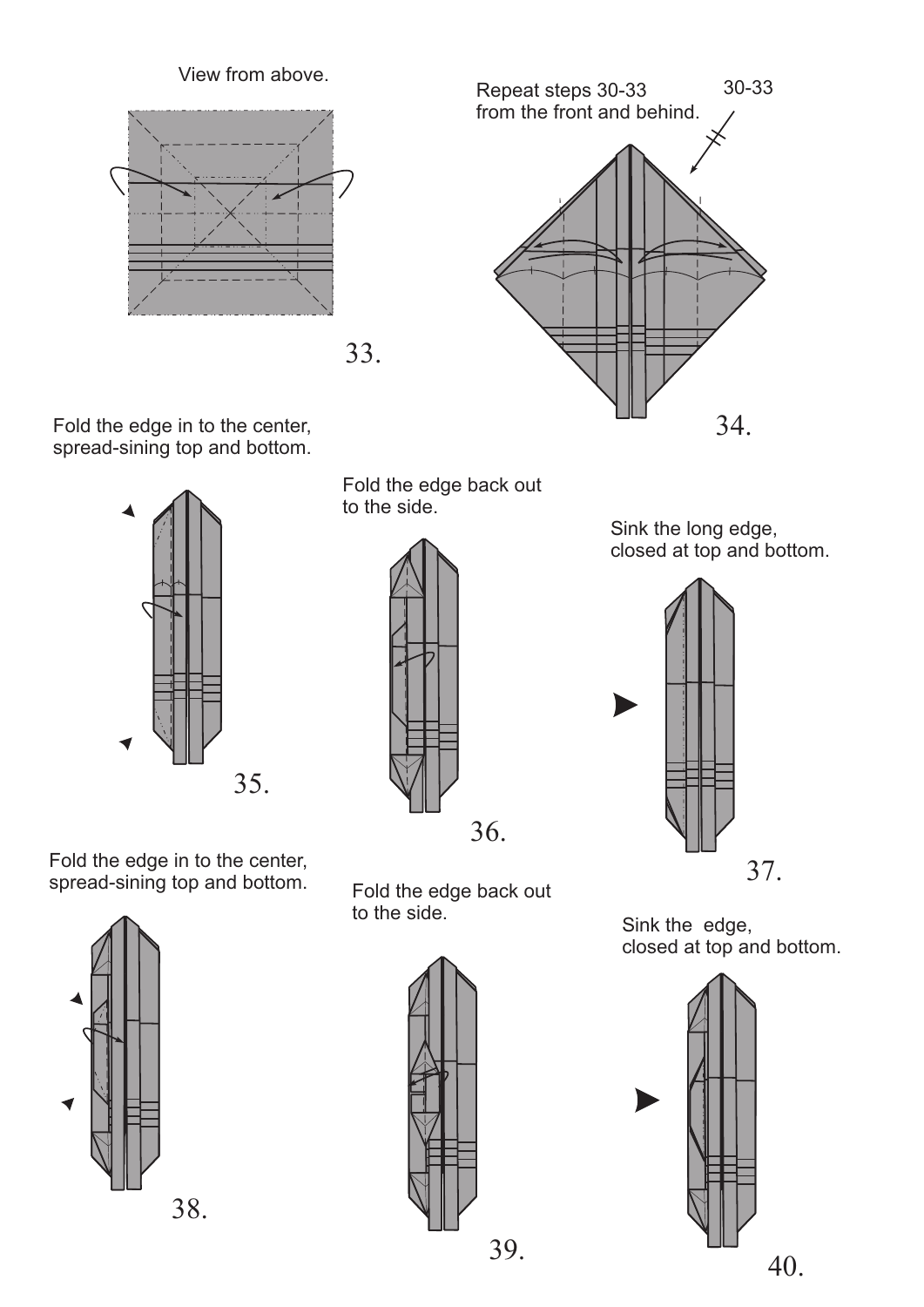View from above.





Fold the edge in to the center, spread-sining top and bottom.



Fold the edge back out to the side.



Sink the edge, closed at top and bottom.



Sink the long edge, closed at top and bottom.





Fold the edge in to the center,



spread-sining top and bottom. Fold the edge back out to the side.

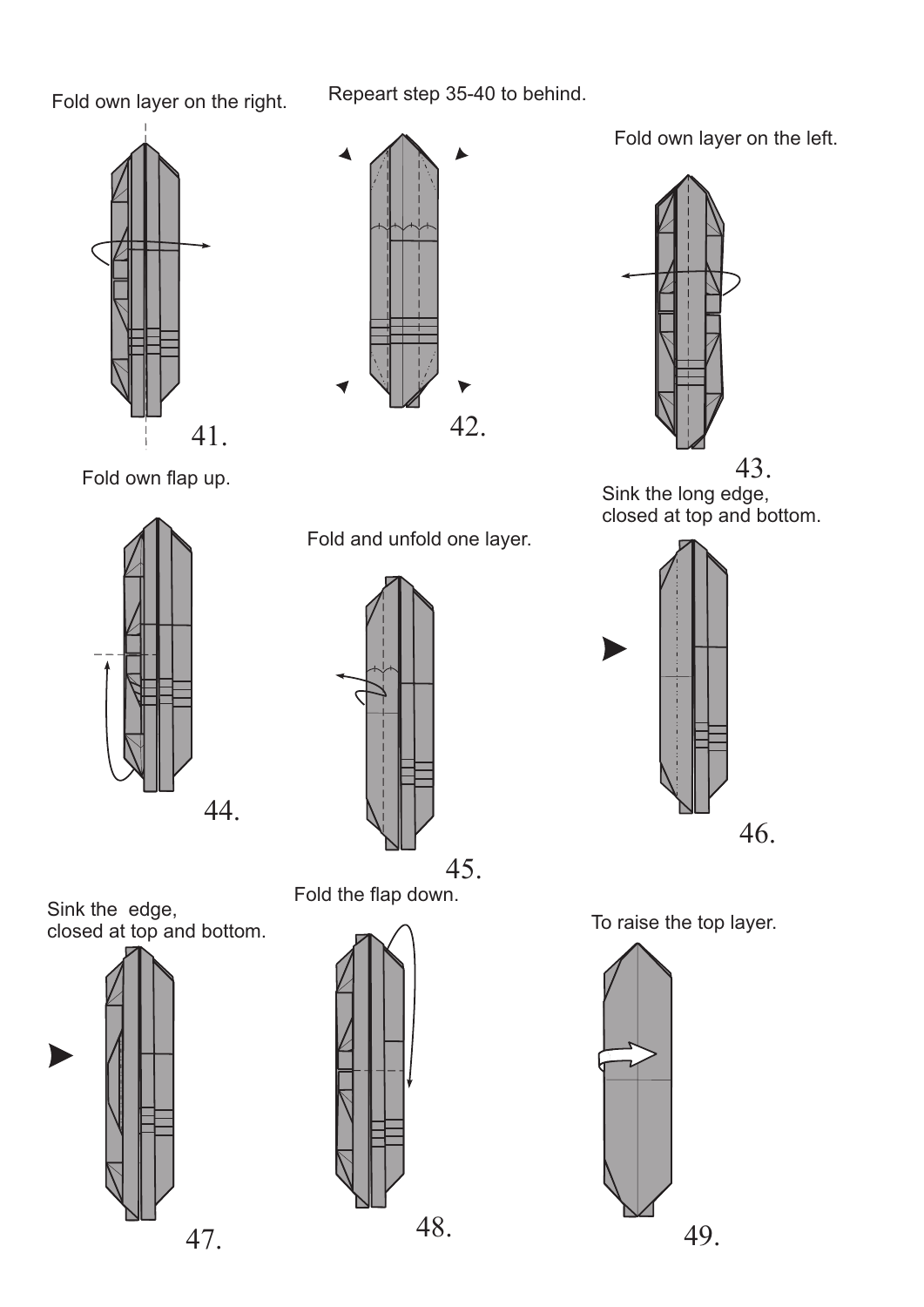Repeart step 35-40 to behind.





Fold own layer on the left.



Fold own flap up.



Fold and unfold one layer.



Sink the long edge, closed at top and bottom.





Sink the edge, closed at top and bottom.





To raise the top layer.



Fold own layer on the right.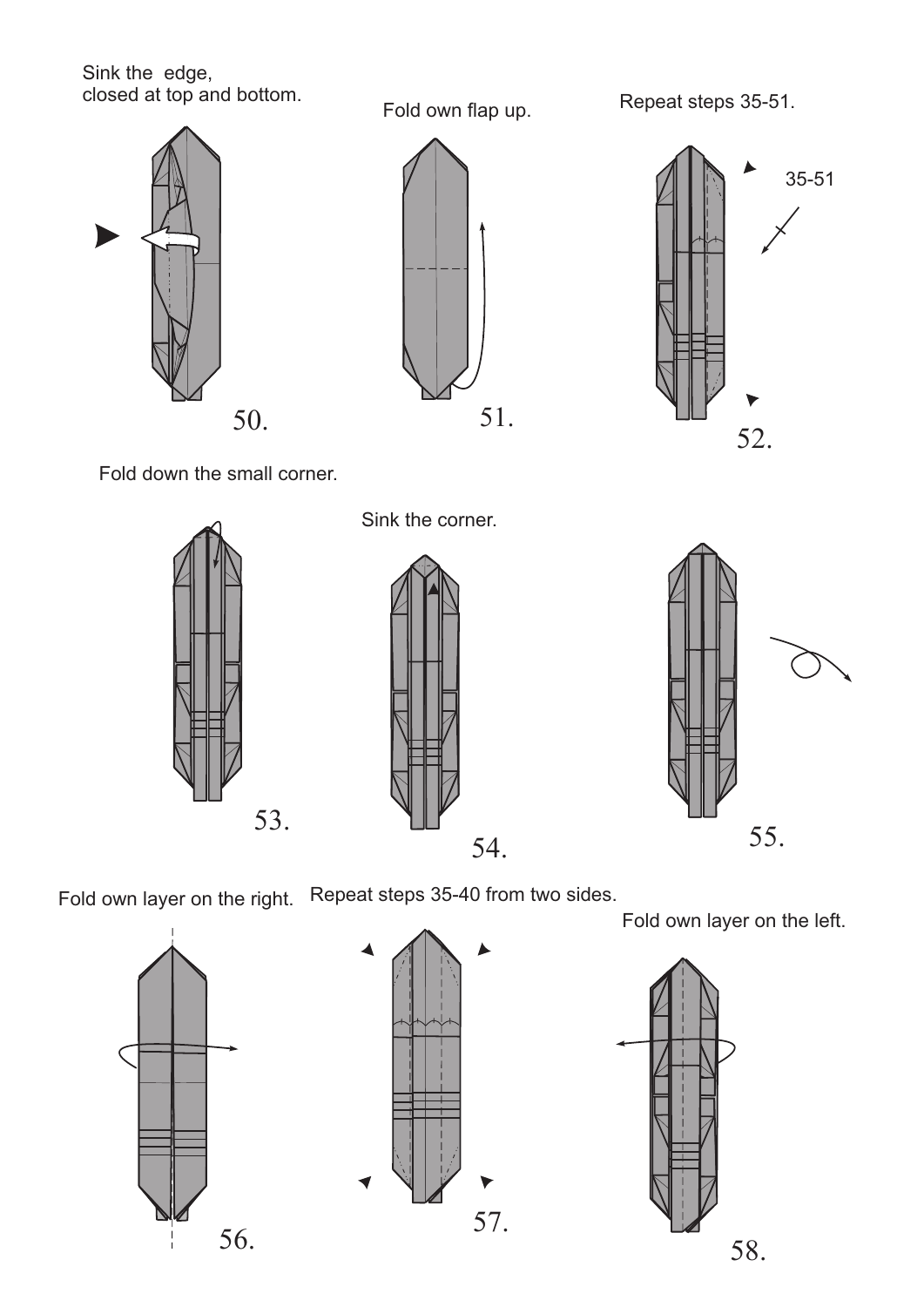Sink the edge, closed at top and bottom.







Fold own flap up. Repeat steps 35-51.



Fold down the small corner.

Sink the corner.







Fold own layer on the left.

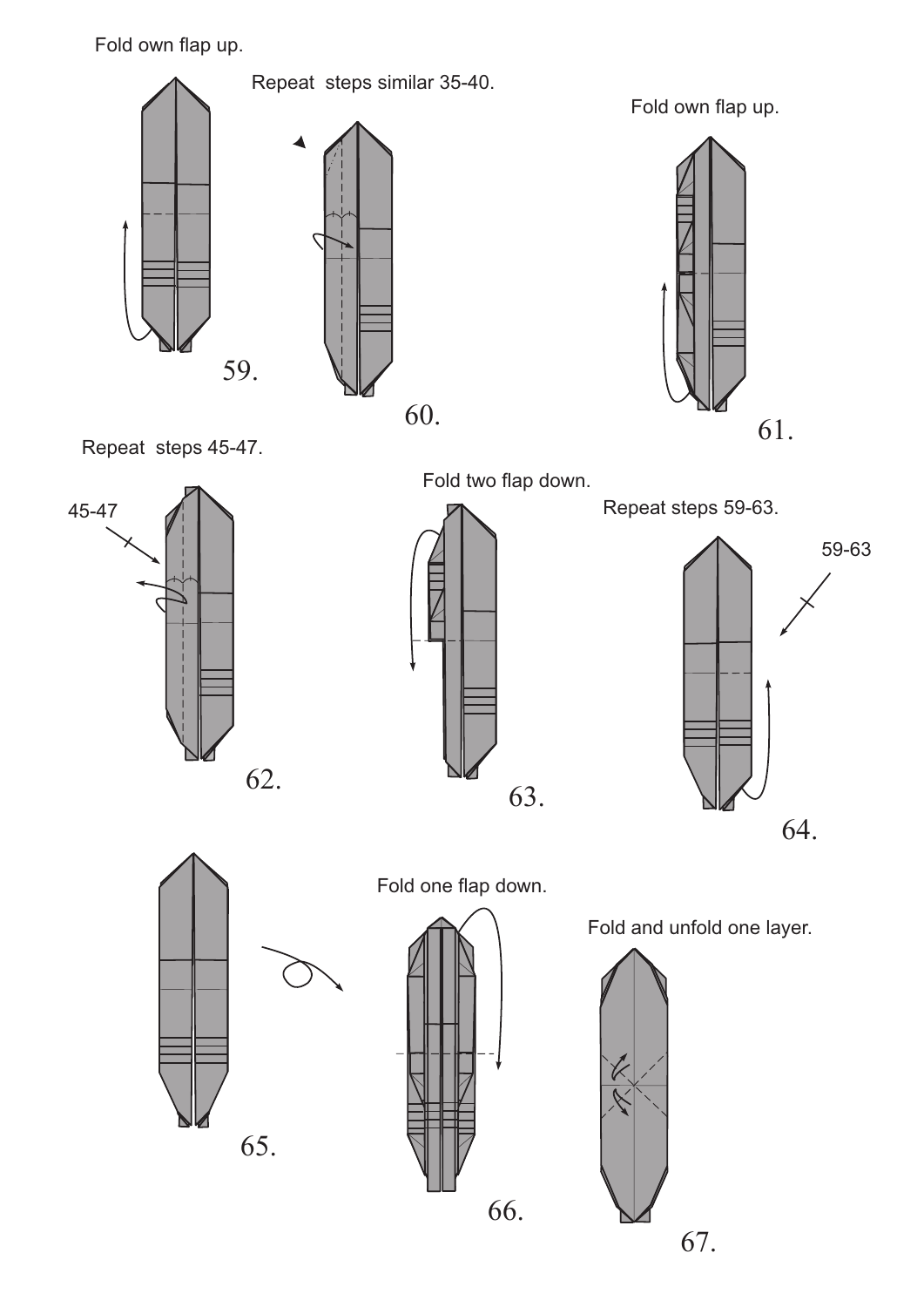Fold own flap up.



Repeat steps 45-47.

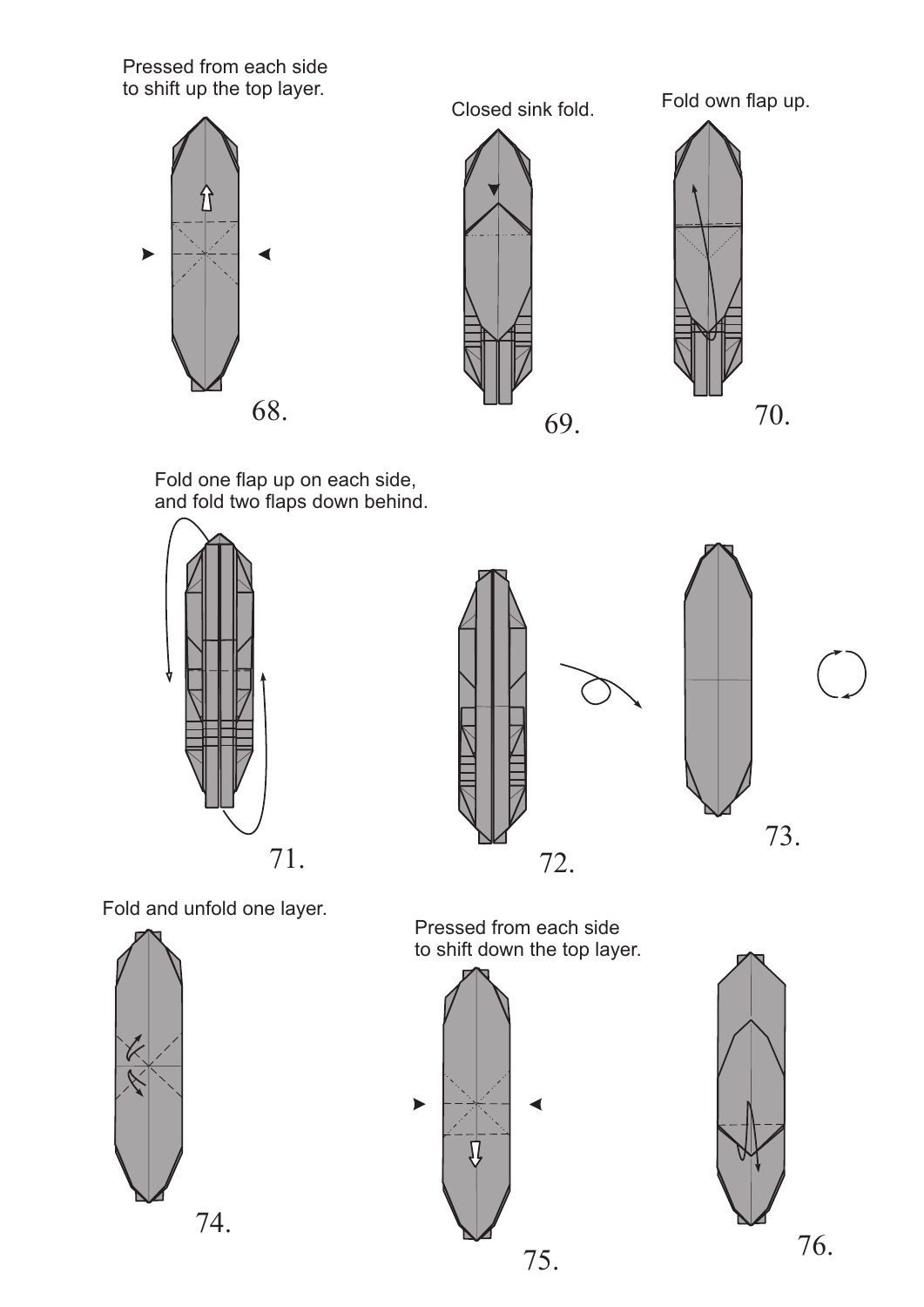Pressed from each side to shift up the top layer.



Closed sink fold. Fold own flap up.



Fold one flap up on each side, and fold two flaps down behind.





Fold and unfold one layer.



Pressed from each side to shift down the top layer.



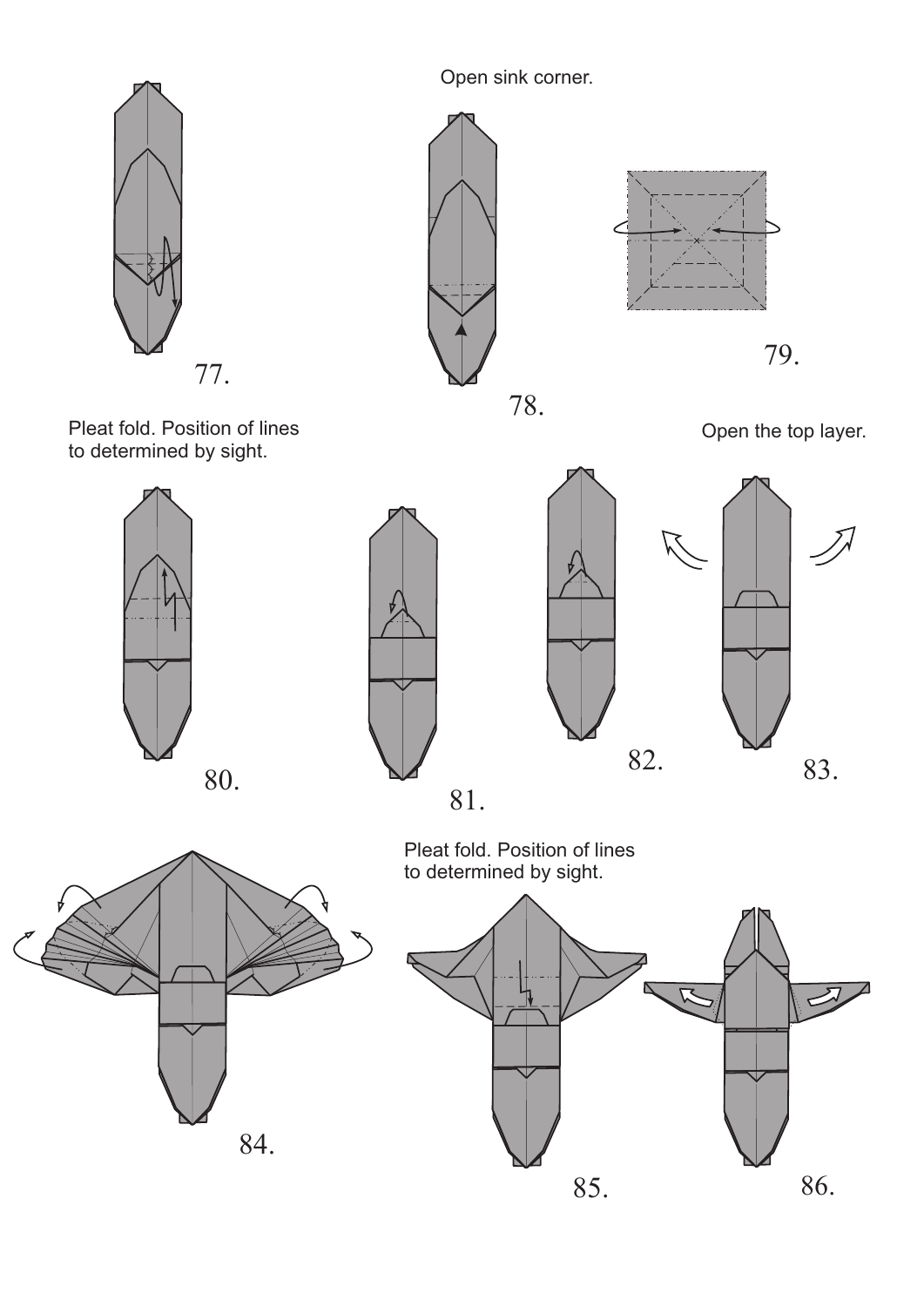

Open sink corner.





Pleat fold. Position of lines to determined by sight.



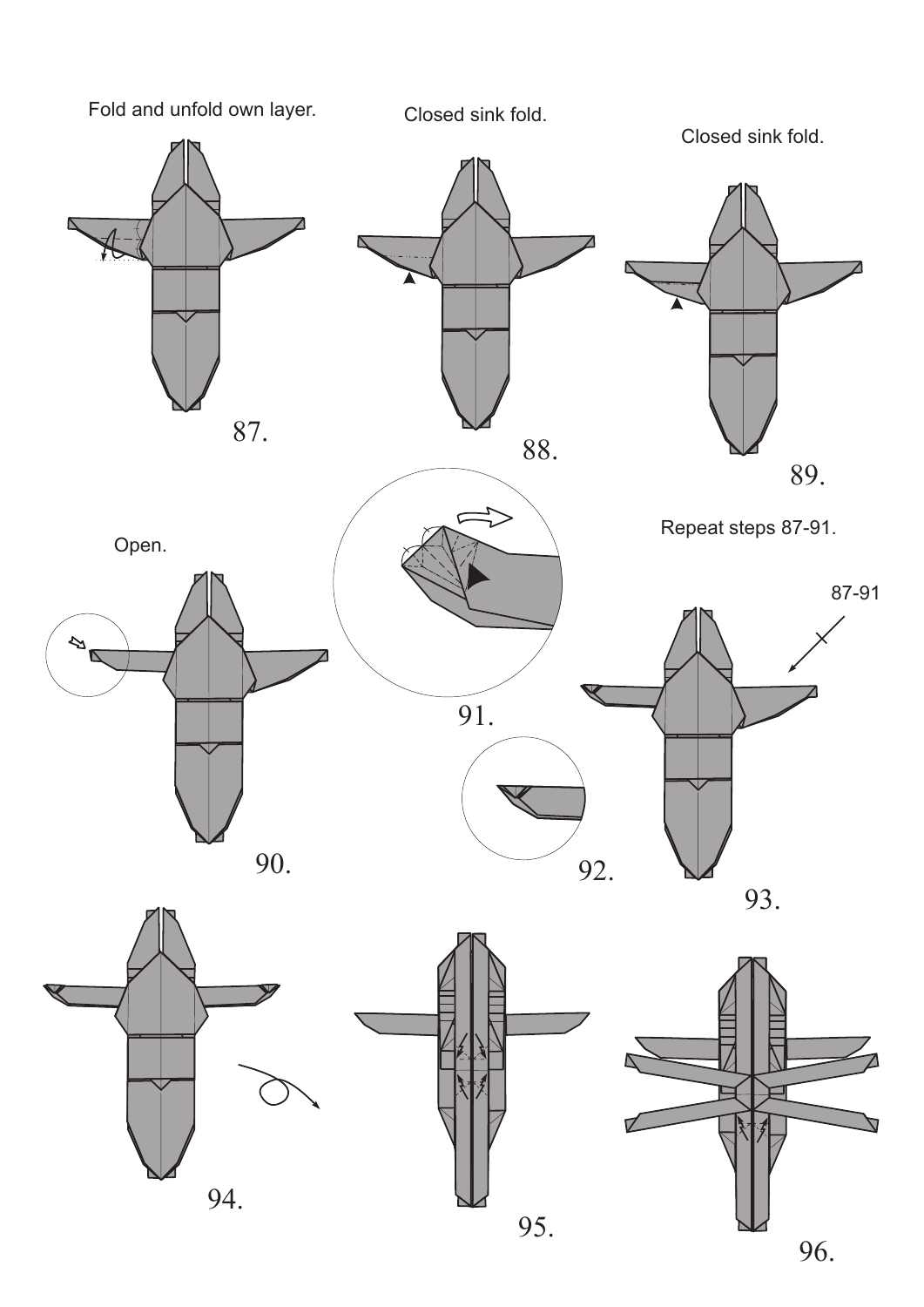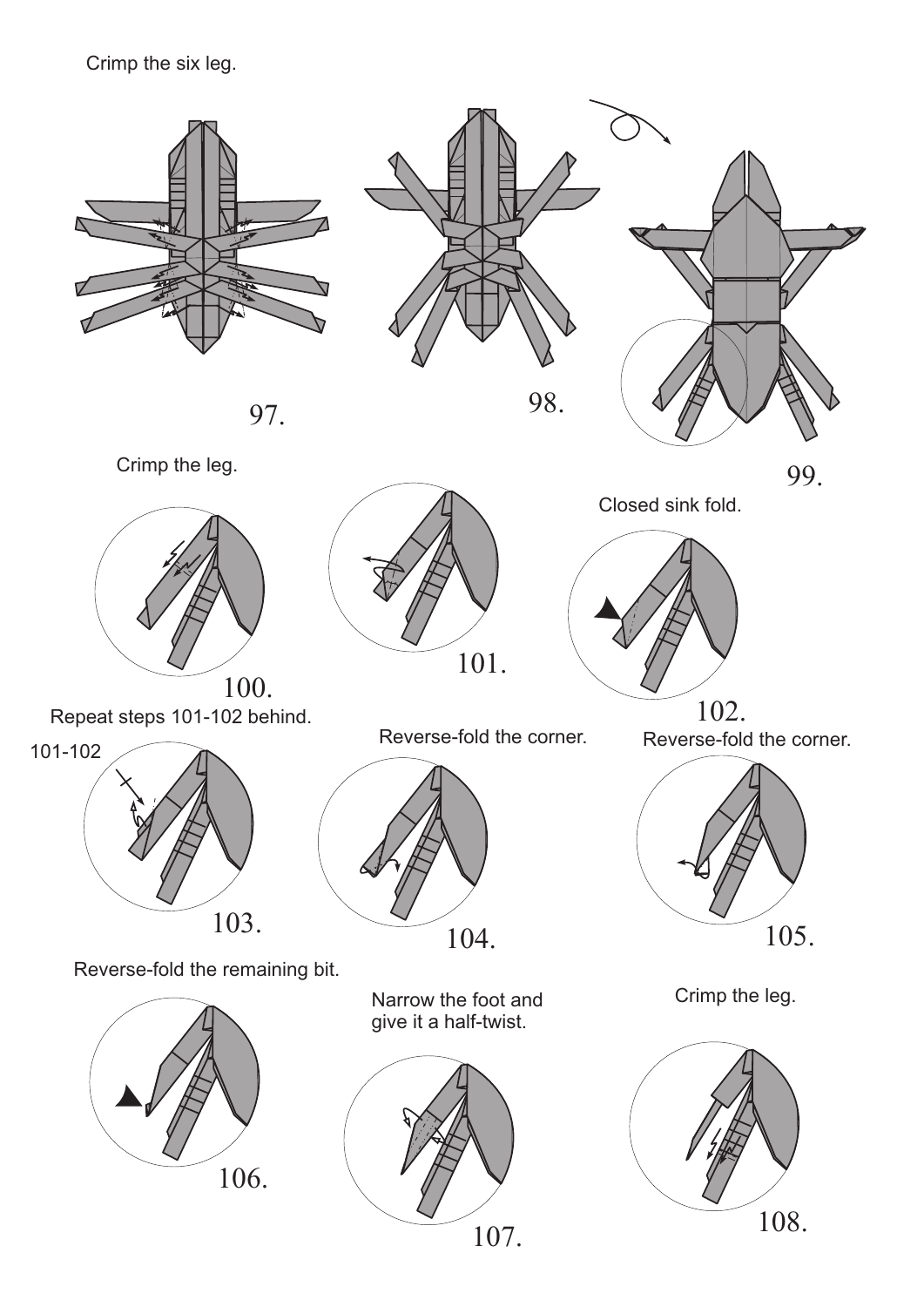#### Crimp the six leg.









Closed sink fold.



Repeat steps 101-102 behind.



Reverse-fold the corner.



Narrow the foot and give it a half-twist.



Crimp the leg.



Reverse-fold the corner.



Reverse-fold the remaining bit.

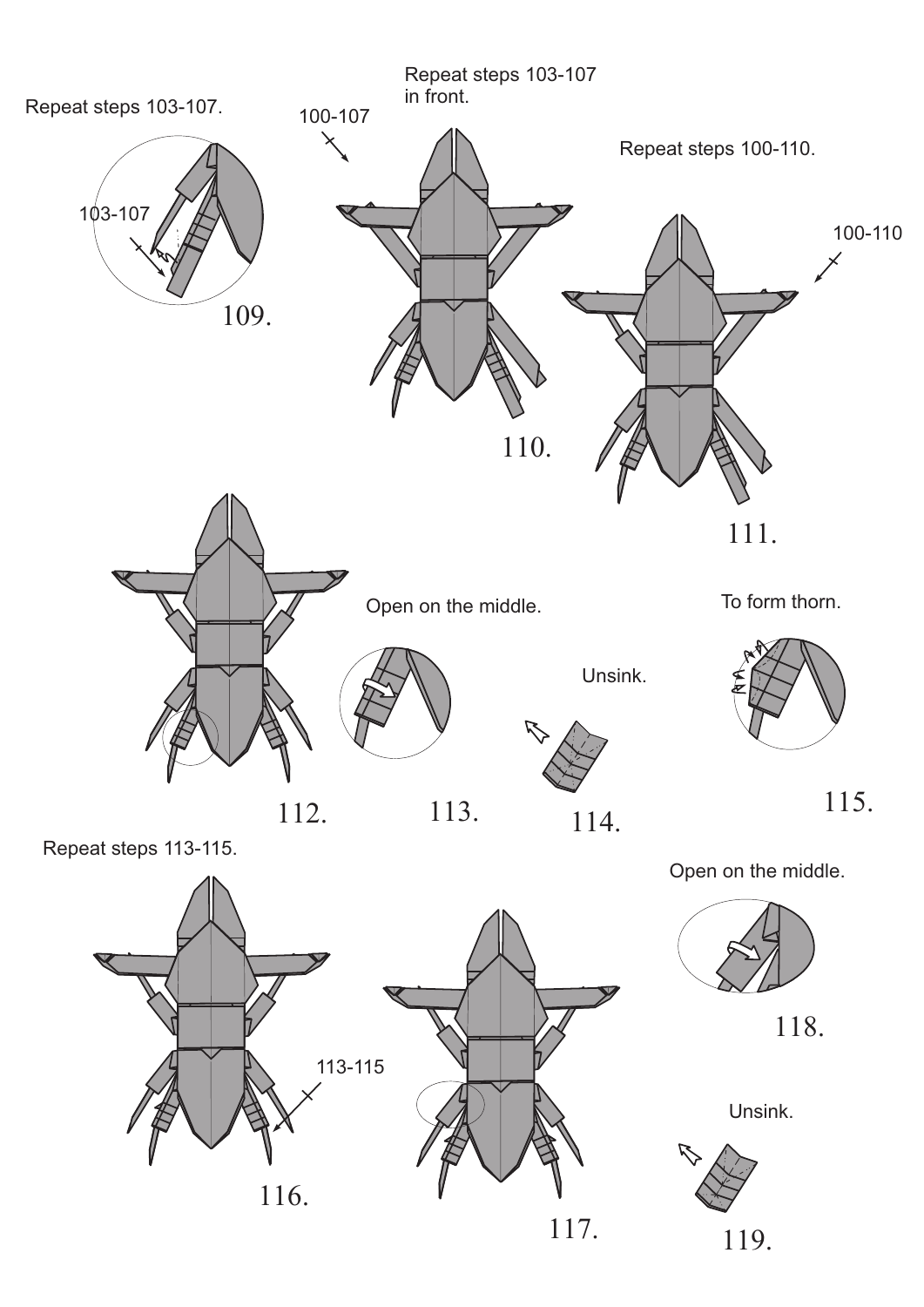

Repeat steps 113-115.

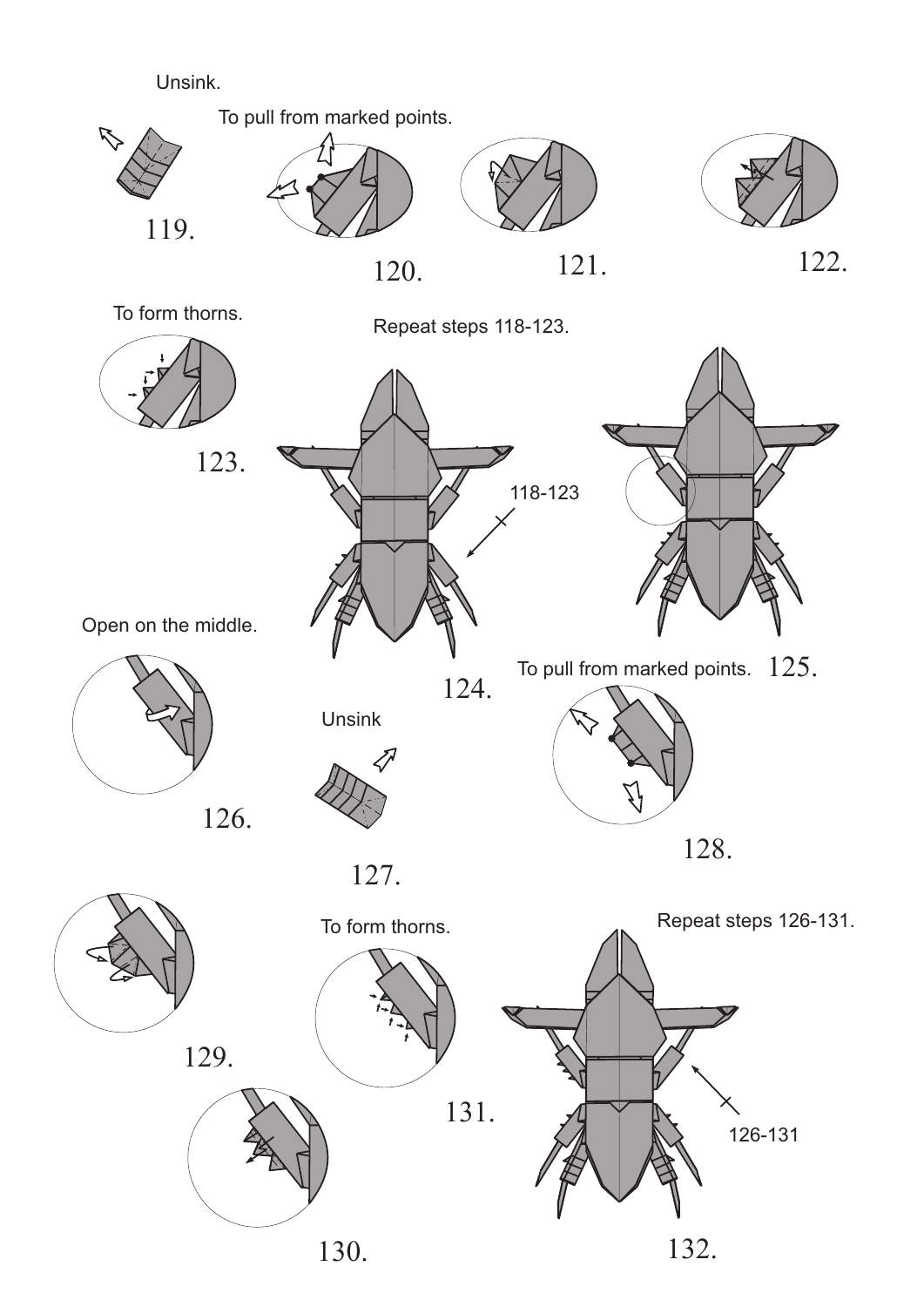#### Unsink.



To pull from marked points.







To form thorns.



Repeat steps 118-123.

Open on the middle.

![](_page_14_Figure_11.jpeg)

![](_page_14_Picture_9.jpeg)

Unsink

![](_page_14_Picture_13.jpeg)

![](_page_14_Picture_14.jpeg)

![](_page_14_Figure_15.jpeg)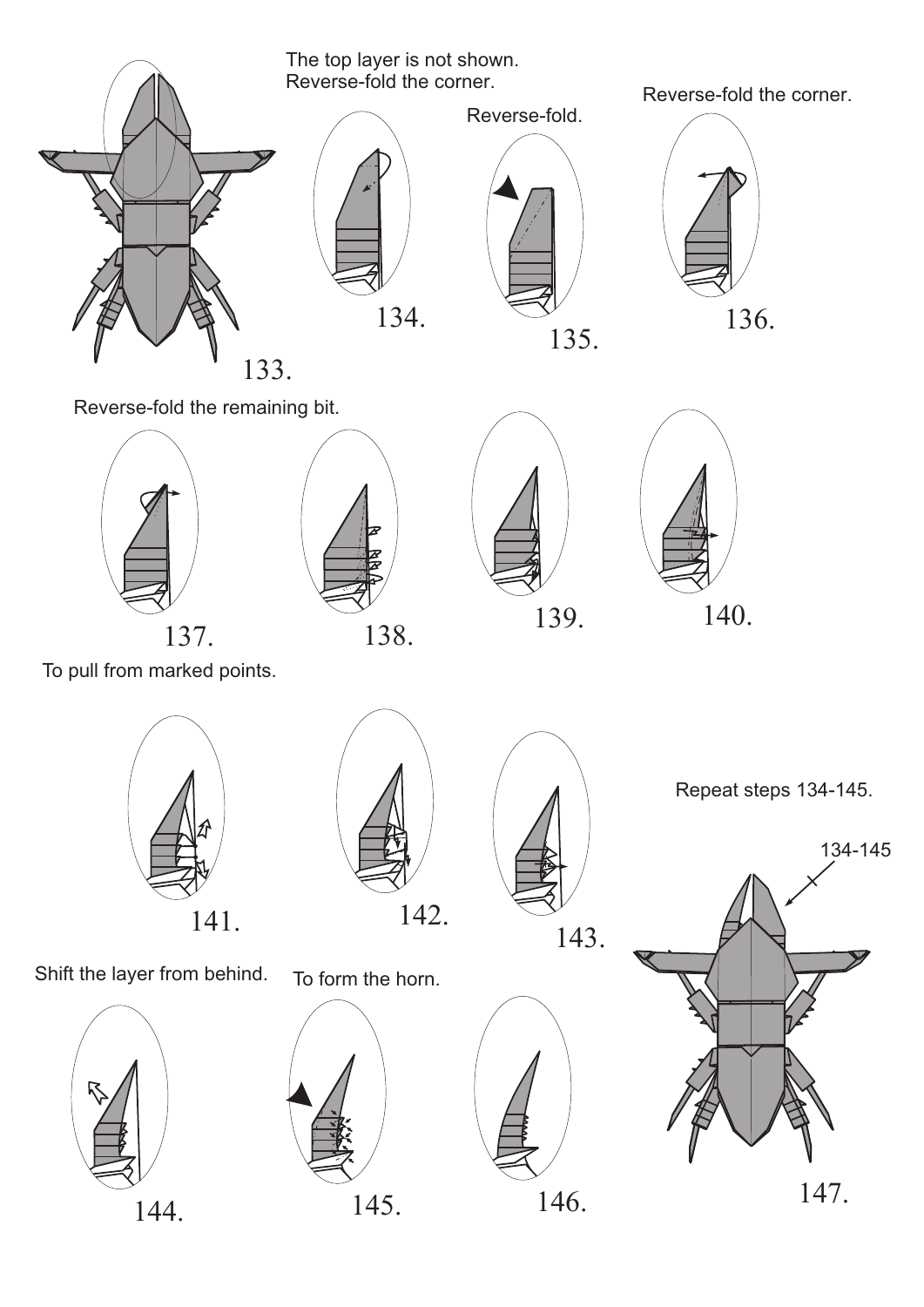To pull from marked points.

![](_page_15_Picture_0.jpeg)

The top layer is not shown. Reverse-fold the corner.

![](_page_15_Picture_2.jpeg)

Reverse-fold the corner.

![](_page_15_Picture_4.jpeg)

Reverse-fold the remaining bit.

![](_page_15_Picture_6.jpeg)

![](_page_15_Picture_7.jpeg)

![](_page_15_Picture_8.jpeg)

![](_page_15_Picture_9.jpeg)

![](_page_15_Picture_11.jpeg)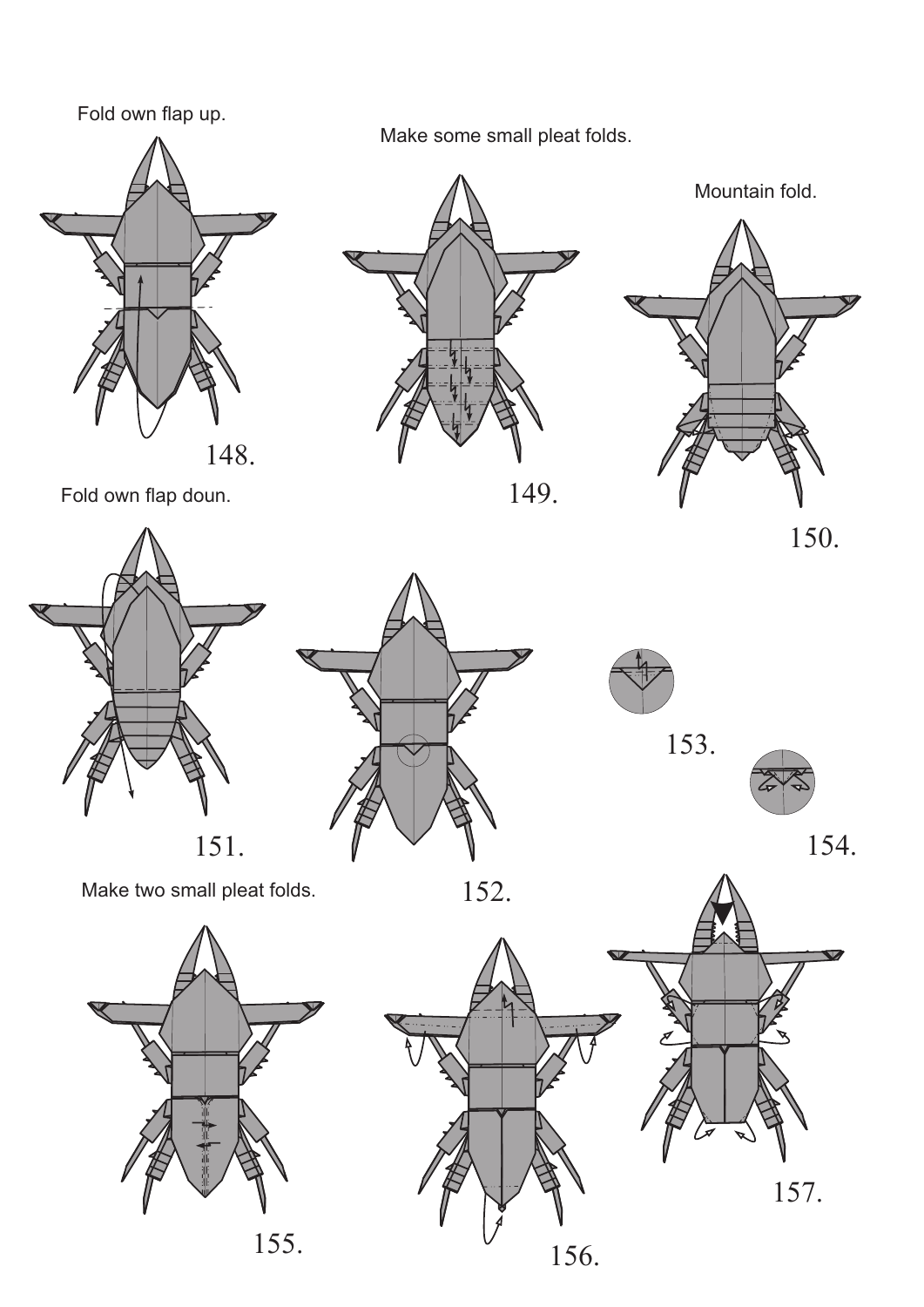### Fold own flap up.

![](_page_16_Picture_1.jpeg)

Make some small pleat folds.

![](_page_16_Figure_5.jpeg)

![](_page_16_Picture_6.jpeg)

![](_page_16_Picture_7.jpeg)

![](_page_16_Picture_8.jpeg)

Make two small pleat folds.

![](_page_16_Picture_10.jpeg)

![](_page_16_Picture_11.jpeg)

Fold own flap doun.